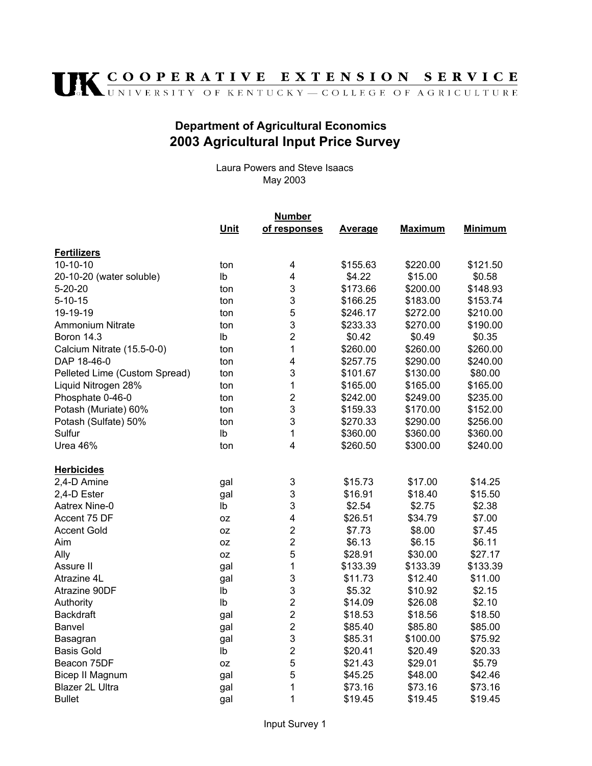## **IK COOPERATIVE EXTENSION SERVICE**

## **Department of Agricultural Economics** 2003 Agricultural Input Price Survey

Laura Powers and Steve Isaacs May 2003

|                               | <u>Number</u> |                |          |          |                |  |
|-------------------------------|---------------|----------------|----------|----------|----------------|--|
|                               | Unit          | of responses   | Average  | Maximum  | <b>Minimum</b> |  |
| <b>Fertilizers</b>            |               |                |          |          |                |  |
| $10-10-10$                    | ton           | 4              | \$155.63 | \$220.00 | \$121.50       |  |
| 20-10-20 (water soluble)      | lb            | 4              | \$4.22   | \$15.00  | \$0.58         |  |
| $5 - 20 - 20$                 | ton           | 3              | \$173.66 | \$200.00 | \$148.93       |  |
| $5 - 10 - 15$                 | ton           | 3              | \$166.25 | \$183.00 | \$153.74       |  |
| 19-19-19                      | ton           | 5              | \$246.17 | \$272.00 | \$210.00       |  |
| <b>Ammonium Nitrate</b>       | ton           | 3              | \$233.33 | \$270.00 | \$190.00       |  |
| Boron 14.3                    | Ib            | $\overline{2}$ | \$0.42   | \$0.49   | \$0.35         |  |
| Calcium Nitrate (15.5-0-0)    | ton           | 1              | \$260.00 | \$260.00 | \$260.00       |  |
| DAP 18-46-0                   | ton           | $\overline{4}$ | \$257.75 | \$290.00 | \$240.00       |  |
| Pelleted Lime (Custom Spread) | ton           | 3              | \$101.67 | \$130.00 | \$80.00        |  |
| Liquid Nitrogen 28%           | ton           | 1              | \$165.00 | \$165.00 | \$165.00       |  |
| Phosphate 0-46-0              | ton           | $\overline{2}$ | \$242.00 | \$249.00 | \$235.00       |  |
| Potash (Muriate) 60%          | ton           | 3              | \$159.33 | \$170.00 | \$152.00       |  |
| Potash (Sulfate) 50%          | ton           | 3              | \$270.33 | \$290.00 | \$256.00       |  |
| Sulfur                        | lb            | 1              | \$360.00 | \$360.00 | \$360.00       |  |
| Urea 46%                      | ton           | 4              | \$260.50 | \$300.00 | \$240.00       |  |
| <b>Herbicides</b>             |               |                |          |          |                |  |
| 2,4-D Amine                   | gal           | 3              | \$15.73  | \$17.00  | \$14.25        |  |
| 2,4-D Ester                   | gal           | 3              | \$16.91  | \$18.40  | \$15.50        |  |
| Aatrex Nine-0                 | lb            | 3              | \$2.54   | \$2.75   | \$2.38         |  |
| Accent 75 DF                  | 0Z            | 4              | \$26.51  | \$34.79  | \$7.00         |  |
| <b>Accent Gold</b>            | 0Z            | $\overline{2}$ | \$7.73   | \$8.00   | \$7.45         |  |
| Aim                           | 0Z            | $\overline{2}$ | \$6.13   | \$6.15   | \$6.11         |  |
| Ally                          | 0Z            | 5              | \$28.91  | \$30.00  | \$27.17        |  |
| Assure II                     | gal           | 1              | \$133.39 | \$133.39 | \$133.39       |  |
| Atrazine 4L                   | gal           | 3              | \$11.73  | \$12.40  | \$11.00        |  |
| Atrazine 90DF                 | Ib            | 3              | \$5.32   | \$10.92  | \$2.15         |  |
| Authority                     | Ib            | $\overline{2}$ | \$14.09  | \$26.08  | \$2.10         |  |
| <b>Backdraft</b>              | gal           | $\overline{2}$ | \$18.53  | \$18.56  | \$18.50        |  |
| Banvel                        | gal           | $\overline{2}$ | \$85.40  | \$85.80  | \$85.00        |  |
| Basagran                      | gal           | 3              | \$85.31  | \$100.00 | \$75.92        |  |
| <b>Basis Gold</b>             | lb            | $\overline{2}$ | \$20.41  | \$20.49  | \$20.33        |  |
| Beacon 75DF                   | 0Z            | 5              | \$21.43  | \$29.01  | \$5.79         |  |
| <b>Bicep II Magnum</b>        | gal           | 5              | \$45.25  | \$48.00  | \$42.46        |  |
| Blazer 2L Ultra               | gal           | 1              | \$73.16  | \$73.16  | \$73.16        |  |
| <b>Bullet</b>                 | gal           | 1              | \$19.45  | \$19.45  | \$19.45        |  |
|                               |               |                |          |          |                |  |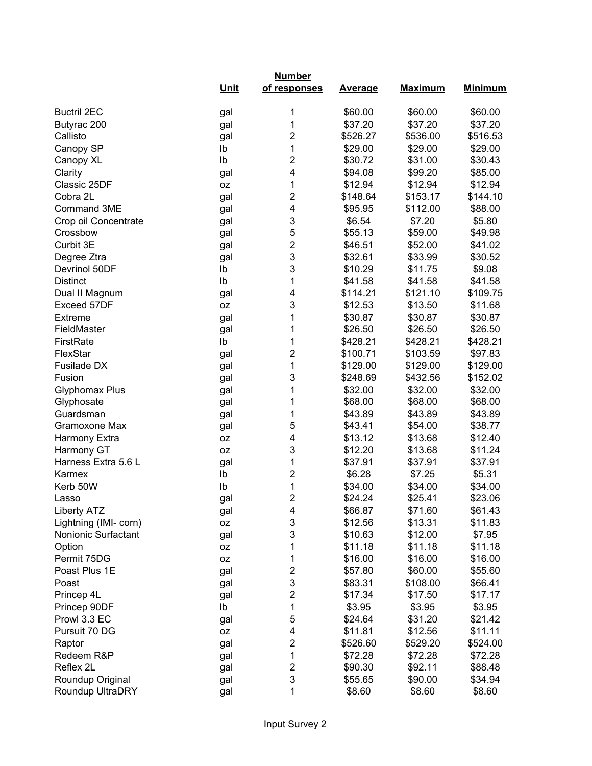|                       |             | <b>Number</b>           |                |                |                |  |  |
|-----------------------|-------------|-------------------------|----------------|----------------|----------------|--|--|
|                       | <u>Unit</u> | of responses            | <b>Average</b> | <b>Maximum</b> | <b>Minimum</b> |  |  |
| <b>Buctril 2EC</b>    | gal         | 1                       | \$60.00        | \$60.00        | \$60.00        |  |  |
| Butyrac 200           | gal         | 1                       | \$37.20        | \$37.20        | \$37.20        |  |  |
| Callisto              | gal         | 2                       | \$526.27       | \$536.00       | \$516.53       |  |  |
| Canopy SP             | lb          | 1                       | \$29.00        | \$29.00        | \$29.00        |  |  |
| Canopy XL             | Ib          | 2                       | \$30.72        | \$31.00        | \$30.43        |  |  |
| Clarity               | gal         | 4                       | \$94.08        | \$99.20        | \$85.00        |  |  |
| Classic 25DF          | 0Z          | 1                       | \$12.94        | \$12.94        | \$12.94        |  |  |
| Cobra 2L              | gal         | 2                       | \$148.64       | \$153.17       | \$144.10       |  |  |
| Command 3ME           | gal         | 4                       | \$95.95        | \$112.00       | \$88.00        |  |  |
| Crop oil Concentrate  | gal         | 3                       | \$6.54         | \$7.20         | \$5.80         |  |  |
| Crossbow              | gal         | 5                       | \$55.13        | \$59.00        | \$49.98        |  |  |
| Curbit 3E             | gal         | $\overline{2}$          | \$46.51        | \$52.00        | \$41.02        |  |  |
| Degree Ztra           | gal         | 3                       | \$32.61        | \$33.99        | \$30.52        |  |  |
| Devrinol 50DF         | lb          | 3                       | \$10.29        | \$11.75        | \$9.08         |  |  |
| <b>Distinct</b>       | lb          | 1                       | \$41.58        | \$41.58        | \$41.58        |  |  |
| Dual II Magnum        | gal         | 4                       | \$114.21       | \$121.10       | \$109.75       |  |  |
| Exceed 57DF           | 0Z          | 3                       | \$12.53        | \$13.50        | \$11.68        |  |  |
| Extreme               | gal         | 1                       | \$30.87        | \$30.87        | \$30.87        |  |  |
| FieldMaster           | gal         | 1                       | \$26.50        | \$26.50        | \$26.50        |  |  |
| FirstRate             | Ib          | 1                       | \$428.21       | \$428.21       | \$428.21       |  |  |
| FlexStar              | gal         | $\overline{2}$          | \$100.71       | \$103.59       | \$97.83        |  |  |
| Fusilade DX           | gal         | 1                       | \$129.00       | \$129.00       | \$129.00       |  |  |
| Fusion                | gal         | 3                       | \$248.69       | \$432.56       | \$152.02       |  |  |
| <b>Glyphomax Plus</b> | gal         | 1                       | \$32.00        | \$32.00        | \$32.00        |  |  |
| Glyphosate            | gal         | 1                       | \$68.00        | \$68.00        | \$68.00        |  |  |
| Guardsman             | gal         | 1                       | \$43.89        | \$43.89        | \$43.89        |  |  |
| Gramoxone Max         | gal         | 5                       | \$43.41        | \$54.00        | \$38.77        |  |  |
| Harmony Extra         | 0Z          | 4                       | \$13.12        | \$13.68        | \$12.40        |  |  |
| Harmony GT            | 0Z          | 3                       | \$12.20        | \$13.68        | \$11.24        |  |  |
| Harness Extra 5.6 L   | gal         | 1                       | \$37.91        | \$37.91        | \$37.91        |  |  |
| Karmex                | lb          | 2                       | \$6.28         | \$7.25         | \$5.31         |  |  |
| Kerb 50W              | lb          | 1                       | \$34.00        | \$34.00        | \$34.00        |  |  |
| Lasso                 | gal         | $\overline{2}$          | \$24.24        | \$25.41        | \$23.06        |  |  |
| <b>Liberty ATZ</b>    | gal         | 4                       | \$66.87        | \$71.60        | \$61.43        |  |  |
| Lightning (IMI- corn) | OZ          | 3                       | \$12.56        | \$13.31        | \$11.83        |  |  |
| Nonionic Surfactant   | gal         | 3                       | \$10.63        | \$12.00        | \$7.95         |  |  |
| Option                | 0Z          | 1                       | \$11.18        | \$11.18        | \$11.18        |  |  |
| Permit 75DG           | 0Z          | 1                       | \$16.00        | \$16.00        | \$16.00        |  |  |
| Poast Plus 1E         | gal         | $\overline{\mathbf{c}}$ | \$57.80        | \$60.00        | \$55.60        |  |  |
| Poast                 | gal         | 3                       | \$83.31        | \$108.00       | \$66.41        |  |  |
| Princep 4L            | gal         | $\overline{\mathbf{c}}$ | \$17.34        | \$17.50        | \$17.17        |  |  |
| Princep 90DF          | lb          | 1                       | \$3.95         | \$3.95         | \$3.95         |  |  |
| Prowl 3.3 EC          | gal         | 5                       | \$24.64        | \$31.20        | \$21.42        |  |  |
| Pursuit 70 DG         | 0Z          | 4                       | \$11.81        | \$12.56        | \$11.11        |  |  |
| Raptor                | gal         | $\overline{c}$          | \$526.60       | \$529.20       | \$524.00       |  |  |
| Redeem R&P            | gal         | 1                       | \$72.28        | \$72.28        | \$72.28        |  |  |
| Reflex 2L             | gal         | $\overline{c}$          | \$90.30        | \$92.11        | \$88.48        |  |  |
| Roundup Original      | gal         | 3                       | \$55.65        | \$90.00        | \$34.94        |  |  |
| Roundup UltraDRY      | gal         | 1                       | \$8.60         | \$8.60         | \$8.60         |  |  |
|                       |             |                         |                |                |                |  |  |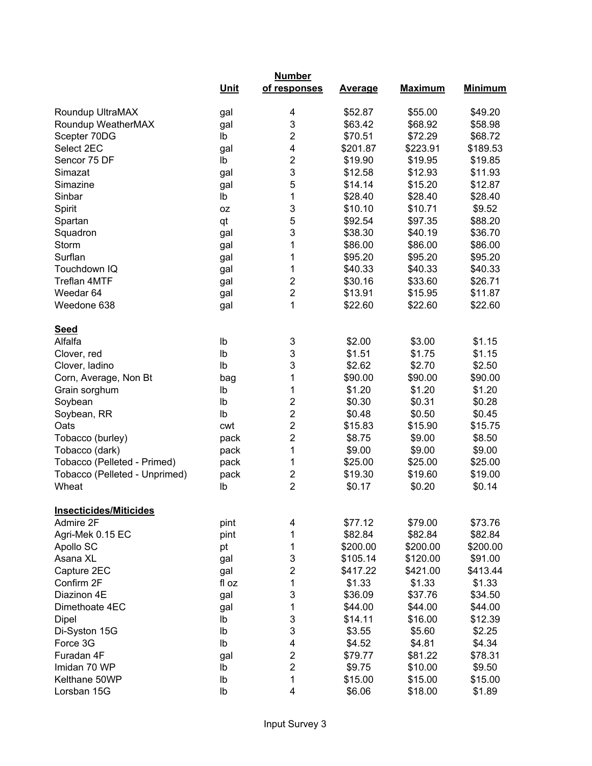|                               | <b>Number</b> |                         |                |                |                |  |
|-------------------------------|---------------|-------------------------|----------------|----------------|----------------|--|
|                               | <b>Unit</b>   | of responses            | <b>Average</b> | <b>Maximum</b> | <b>Minimum</b> |  |
| Roundup UltraMAX              | gal           | 4                       | \$52.87        | \$55.00        | \$49.20        |  |
| Roundup WeatherMAX            | gal           | 3                       | \$63.42        | \$68.92        | \$58.98        |  |
| Scepter 70DG                  | Ib            | 2                       | \$70.51        | \$72.29        | \$68.72        |  |
| Select 2EC                    | gal           | 4                       | \$201.87       | \$223.91       | \$189.53       |  |
| Sencor 75 DF                  | Ib            | 2                       | \$19.90        | \$19.95        | \$19.85        |  |
| Simazat                       | gal           | 3                       | \$12.58        | \$12.93        | \$11.93        |  |
| Simazine                      | gal           | 5                       | \$14.14        | \$15.20        | \$12.87        |  |
| Sinbar                        | Ib            | 1                       | \$28.40        | \$28.40        | \$28.40        |  |
| Spirit                        | OZ.           | 3                       | \$10.10        | \$10.71        | \$9.52         |  |
| Spartan                       | qt            | 5                       | \$92.54        | \$97.35        | \$88.20        |  |
| Squadron                      | gal           | 3                       | \$38.30        | \$40.19        | \$36.70        |  |
| Storm                         | gal           | 1                       | \$86.00        | \$86.00        | \$86.00        |  |
| Surflan                       | gal           | 1                       | \$95.20        | \$95.20        | \$95.20        |  |
| Touchdown IQ                  | gal           | 1                       | \$40.33        | \$40.33        | \$40.33        |  |
| <b>Treflan 4MTF</b>           | gal           | $\overline{c}$          | \$30.16        | \$33.60        | \$26.71        |  |
| Weedar <sub>64</sub>          | gal           | $\overline{\mathbf{c}}$ | \$13.91        | \$15.95        | \$11.87        |  |
| Weedone 638                   | gal           | 1                       | \$22.60        | \$22.60        | \$22.60        |  |
| <b>Seed</b>                   |               |                         |                |                |                |  |
| Alfalfa                       | Ib            | 3                       | \$2.00         | \$3.00         | \$1.15         |  |
| Clover, red                   | Ib            | 3                       | \$1.51         | \$1.75         | \$1.15         |  |
| Clover, ladino                | lb            | 3                       | \$2.62         | \$2.70         | \$2.50         |  |
| Corn, Average, Non Bt         | bag           | 1                       | \$90.00        | \$90.00        | \$90.00        |  |
| Grain sorghum                 | lb            | 1                       | \$1.20         | \$1.20         | \$1.20         |  |
| Soybean                       | lb            | 2                       | \$0.30         | \$0.31         | \$0.28         |  |
| Soybean, RR                   | Ib            | $\overline{2}$          | \$0.48         | \$0.50         | \$0.45         |  |
| Oats                          | cwt           | 2                       | \$15.83        | \$15.90        | \$15.75        |  |
| Tobacco (burley)              | pack          | $\overline{c}$          | \$8.75         | \$9.00         | \$8.50         |  |
| Tobacco (dark)                | pack          | 1                       | \$9.00         | \$9.00         | \$9.00         |  |
| Tobacco (Pelleted - Primed)   | pack          | 1                       | \$25.00        | \$25.00        | \$25.00        |  |
| Tobacco (Pelleted - Unprimed) | pack          | $\overline{2}$          | \$19.30        | \$19.60        | \$19.00        |  |
| Wheat                         | lb            | $\overline{2}$          | \$0.17         | \$0.20         | \$0.14         |  |
| Insecticides/Miticides        |               |                         |                |                |                |  |
| Admire 2F                     | pint          | 4                       | \$77.12        | \$79.00        | \$73.76        |  |
| Agri-Mek 0.15 EC              | pint          | 1                       | \$82.84        | \$82.84        | \$82.84        |  |
| Apollo SC                     | pt            | 1                       | \$200.00       | \$200.00       | \$200.00       |  |
| Asana XL                      | gal           | 3                       | \$105.14       | \$120.00       | \$91.00        |  |
| Capture 2EC                   | gal           | $\overline{\mathbf{c}}$ | \$417.22       | \$421.00       | \$413.44       |  |
| Confirm 2F                    | fl oz         | 1                       | \$1.33         | \$1.33         | \$1.33         |  |
| Diazinon 4E                   | gal           | 3                       | \$36.09        | \$37.76        | \$34.50        |  |
| Dimethoate 4EC                | gal           | 1                       | \$44.00        | \$44.00        | \$44.00        |  |
| Dipel                         | Ib            | 3                       | \$14.11        | \$16.00        | \$12.39        |  |
| Di-Syston 15G                 | Ib            | 3                       | \$3.55         | \$5.60         | \$2.25         |  |
| Force 3G                      | Ib            | 4                       | \$4.52         | \$4.81         | \$4.34         |  |
| Furadan 4F                    | gal           | $\overline{2}$          | \$79.77        | \$81.22        | \$78.31        |  |
| Imidan 70 WP                  | Ib            | $\overline{2}$          | \$9.75         | \$10.00        | \$9.50         |  |
| Kelthane 50WP                 | Ib            | 1                       | \$15.00        | \$15.00        | \$15.00        |  |
| Lorsban 15G                   | lb            | 4                       | \$6.06         | \$18.00        | \$1.89         |  |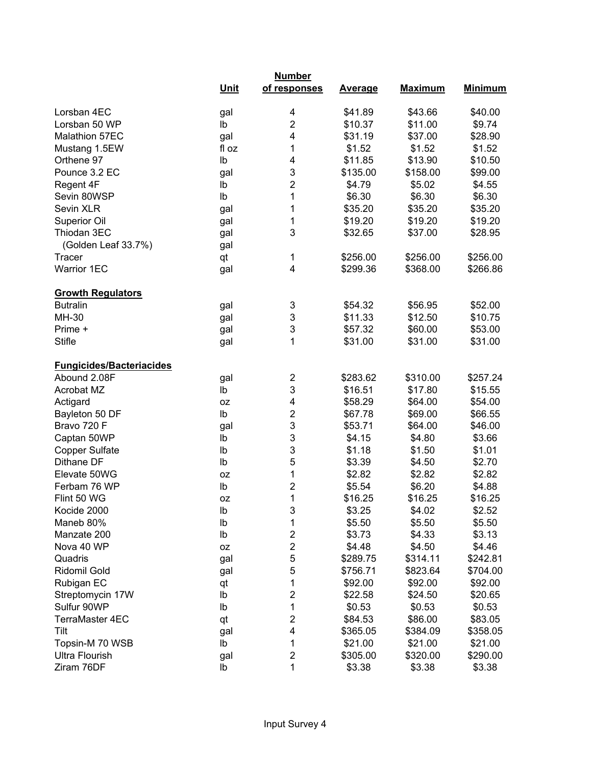|                                                 | <b>Number</b> |                         |                |                |                |  |
|-------------------------------------------------|---------------|-------------------------|----------------|----------------|----------------|--|
|                                                 | <b>Unit</b>   | of responses            | <b>Average</b> | <b>Maximum</b> | <b>Minimum</b> |  |
| Lorsban 4EC                                     | gal           | 4                       | \$41.89        | \$43.66        | \$40.00        |  |
| Lorsban 50 WP                                   | lb            | $\overline{2}$          | \$10.37        | \$11.00        | \$9.74         |  |
| Malathion 57EC                                  | gal           | 4                       | \$31.19        | \$37.00        | \$28.90        |  |
| Mustang 1.5EW                                   | fl oz         | 1                       | \$1.52         | \$1.52         | \$1.52         |  |
| Orthene 97                                      | Ib            | $\overline{\mathbf{4}}$ | \$11.85        | \$13.90        | \$10.50        |  |
| Pounce 3.2 EC                                   | gal           | 3                       | \$135.00       | \$158.00       | \$99.00        |  |
| Regent 4F                                       | lb            | $\overline{2}$          | \$4.79         | \$5.02         | \$4.55         |  |
| Sevin 80WSP                                     | Ib            | $\mathbf 1$             | \$6.30         | \$6.30         | \$6.30         |  |
| Sevin XLR                                       | gal           | 1                       | \$35.20        | \$35.20        | \$35.20        |  |
| Superior Oil                                    | gal           | 1                       | \$19.20        | \$19.20        | \$19.20        |  |
| Thiodan 3EC                                     | gal           | 3                       | \$32.65        | \$37.00        | \$28.95        |  |
| (Golden Leaf 33.7%)                             | gal           |                         |                |                |                |  |
| <b>Tracer</b>                                   | qt            | 1                       | \$256.00       | \$256.00       | \$256.00       |  |
| <b>Warrior 1EC</b>                              | gal           | 4                       | \$299.36       | \$368.00       | \$266.86       |  |
| <b>Growth Regulators</b>                        |               |                         |                |                |                |  |
| <b>Butralin</b>                                 | gal           | 3                       | \$54.32        | \$56.95        | \$52.00        |  |
| MH-30                                           | gal           | 3                       | \$11.33        | \$12.50        | \$10.75        |  |
| Prime +                                         | gal           | 3                       | \$57.32        | \$60.00        | \$53.00        |  |
| <b>Stifle</b>                                   | gal           | $\overline{1}$          | \$31.00        | \$31.00        | \$31.00        |  |
|                                                 |               |                         |                |                |                |  |
| <b>Fungicides/Bacteriacides</b><br>Abound 2.08F | gal           | 2                       | \$283.62       | \$310.00       | \$257.24       |  |
| Acrobat MZ                                      | Ib            | 3                       | \$16.51        | \$17.80        | \$15.55        |  |
| Actigard                                        | 0Z            | 4                       | \$58.29        | \$64.00        | \$54.00        |  |
| Bayleton 50 DF                                  | Ib            | $\overline{\mathbf{c}}$ | \$67.78        | \$69.00        | \$66.55        |  |
| Bravo 720 F                                     |               | 3                       | \$53.71        | \$64.00        | \$46.00        |  |
| Captan 50WP                                     | gal<br>Ib     | 3                       | \$4.15         | \$4.80         | \$3.66         |  |
| <b>Copper Sulfate</b>                           | Ib            | 3                       | \$1.18         | \$1.50         | \$1.01         |  |
| Dithane DF                                      | Ib            | 5                       |                |                |                |  |
| Elevate 50WG                                    |               | 1                       | \$3.39         | \$4.50         | \$2.70         |  |
| Ferbam 76 WP                                    | 0Z<br>Ib      | $\overline{c}$          | \$2.82         | \$2.82         | \$2.82         |  |
|                                                 |               | 1                       | \$5.54         | \$6.20         | \$4.88         |  |
| Flint 50 WG                                     | <b>OZ</b>     |                         | \$16.25        | \$16.25        | \$16.25        |  |
| Kocide 2000                                     | lb            | 3                       | \$3.25         | \$4.02         | \$2.52         |  |
| Maneb 80%                                       | Ib            | 1                       | \$5.50         | \$5.50         | \$5.50         |  |
| Manzate 200                                     | lb            | $\overline{\mathbf{c}}$ | \$3.73         | \$4.33         | \$3.13         |  |
| Nova 40 WP                                      | 0Z            | $\overline{\mathbf{c}}$ | \$4.48         | \$4.50         | \$4.46         |  |
| Quadris                                         | gal           | 5                       | \$289.75       | \$314.11       | \$242.81       |  |
| Ridomil Gold                                    | gal           | 5                       | \$756.71       | \$823.64       | \$704.00       |  |
| Rubigan EC                                      | qt            | 1                       | \$92.00        | \$92.00        | \$92.00        |  |
| Streptomycin 17W                                | Ib            | $\overline{\mathbf{c}}$ | \$22.58        | \$24.50        | \$20.65        |  |
| Sulfur 90WP                                     | Ib            | 1                       | \$0.53         | \$0.53         | \$0.53         |  |
| TerraMaster 4EC                                 | qt            | $\overline{\mathbf{c}}$ | \$84.53        | \$86.00        | \$83.05        |  |
| Tilt                                            | gal           | $\overline{\mathbf{4}}$ | \$365.05       | \$384.09       | \$358.05       |  |
| Topsin-M 70 WSB                                 | lb            | 1                       | \$21.00        | \$21.00        | \$21.00        |  |
| <b>Ultra Flourish</b>                           | gal           | $\overline{\mathbf{c}}$ | \$305.00       | \$320.00       | \$290.00       |  |
| Ziram 76DF                                      | Ib            | 1                       | \$3.38         | \$3.38         | \$3.38         |  |